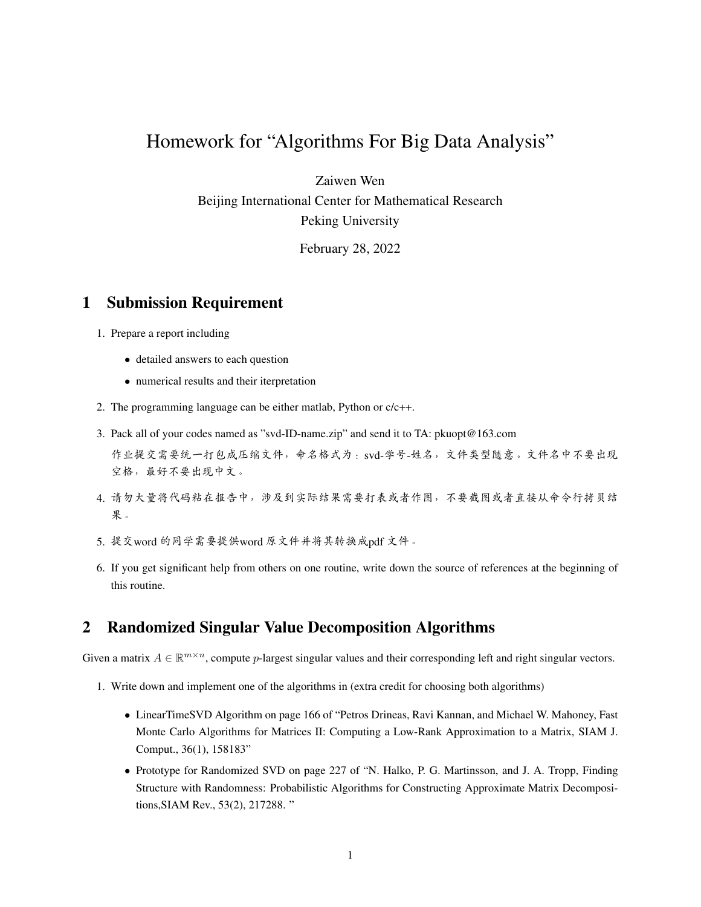## Homework for "Algorithms For Big Data Analysis"

Zaiwen Wen

Beijing International Center for Mathematical Research Peking University

February 28, 2022

## 1 Submission Requirement

- 1. Prepare a report including
	- detailed answers to each question
	- numerical results and their iterpretation
- 2. The programming language can be either matlab, Python or c/c++.
- 3. Pack all of your codes named as "svd-ID-name.zip" and send it to TA: pkuopt@163.com

<sup>作</sup>业提交需要统一打包成压缩文件,命名格式为:svd-学号-姓名,文件类型随意。文件名中不要出<sup>现</sup> 空格,最好不要出现中文。

- 4. <sup>请</sup>勿大量将代码粘在报告中,涉及到实际结果需要打表或者作图,不要截图或者直接从命令行拷贝<sup>结</sup> 果。
- 5. <sup>提</sup>交word <sup>的</sup>同学需要提供word <sup>原</sup>文件并将其转换成pdf <sup>文</sup>件。
- 6. If you get significant help from others on one routine, write down the source of references at the beginning of this routine.

## 2 Randomized Singular Value Decomposition Algorithms

Given a matrix  $A \in \mathbb{R}^{m \times n}$ , compute p-largest singular values and their corresponding left and right singular vectors.

- 1. Write down and implement one of the algorithms in (extra credit for choosing both algorithms)
	- LinearTimeSVD Algorithm on page 166 of "Petros Drineas, Ravi Kannan, and Michael W. Mahoney, Fast Monte Carlo Algorithms for Matrices II: Computing a Low-Rank Approximation to a Matrix, SIAM J. Comput., 36(1), 158183"
	- Prototype for Randomized SVD on page 227 of "N. Halko, P. G. Martinsson, and J. A. Tropp, Finding Structure with Randomness: Probabilistic Algorithms for Constructing Approximate Matrix Decompositions,SIAM Rev., 53(2), 217288. "